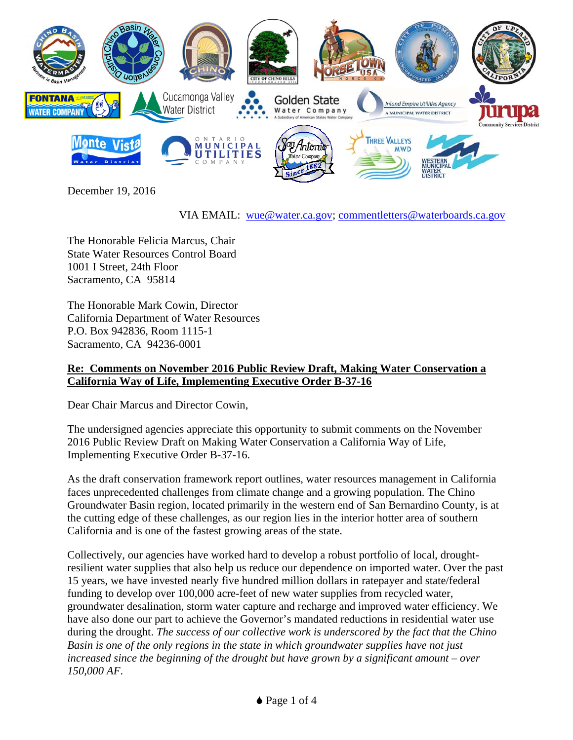

December 19, 2016

VIA EMAIL: wue@water.ca.gov; commentletters@waterboards.ca.gov

The Honorable Felicia Marcus, Chair State Water Resources Control Board 1001 I Street, 24th Floor Sacramento, CA 95814

The Honorable Mark Cowin, Director California Department of Water Resources P.O. Box 942836, Room 1115-1 Sacramento, CA 94236-0001

## **Re: Comments on November 2016 Public Review Draft, Making Water Conservation a California Way of Life, Implementing Executive Order B-37-16**

Dear Chair Marcus and Director Cowin,

The undersigned agencies appreciate this opportunity to submit comments on the November 2016 Public Review Draft on Making Water Conservation a California Way of Life, Implementing Executive Order B-37-16.

As the draft conservation framework report outlines, water resources management in California faces unprecedented challenges from climate change and a growing population. The Chino Groundwater Basin region, located primarily in the western end of San Bernardino County, is at the cutting edge of these challenges, as our region lies in the interior hotter area of southern California and is one of the fastest growing areas of the state.

Collectively, our agencies have worked hard to develop a robust portfolio of local, droughtresilient water supplies that also help us reduce our dependence on imported water. Over the past 15 years, we have invested nearly five hundred million dollars in ratepayer and state/federal funding to develop over 100,000 acre-feet of new water supplies from recycled water, groundwater desalination, storm water capture and recharge and improved water efficiency. We have also done our part to achieve the Governor's mandated reductions in residential water use during the drought. *The success of our collective work is underscored by the fact that the Chino Basin is one of the only regions in the state in which groundwater supplies have not just increased since the beginning of the drought but have grown by a significant amount – over 150,000 AF*.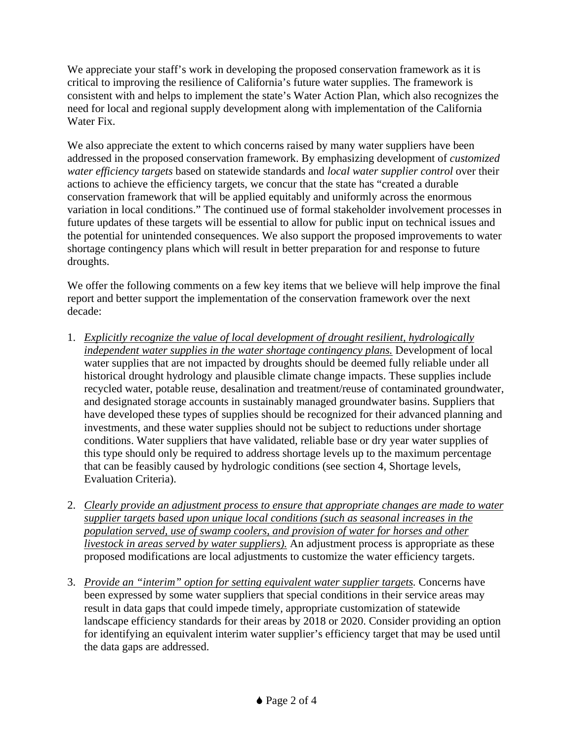We appreciate your staff's work in developing the proposed conservation framework as it is critical to improving the resilience of California's future water supplies. The framework is consistent with and helps to implement the state's Water Action Plan, which also recognizes the need for local and regional supply development along with implementation of the California Water Fix.

We also appreciate the extent to which concerns raised by many water suppliers have been addressed in the proposed conservation framework. By emphasizing development of *customized water efficiency targets* based on statewide standards and *local water supplier control* over their actions to achieve the efficiency targets, we concur that the state has "created a durable conservation framework that will be applied equitably and uniformly across the enormous variation in local conditions." The continued use of formal stakeholder involvement processes in future updates of these targets will be essential to allow for public input on technical issues and the potential for unintended consequences. We also support the proposed improvements to water shortage contingency plans which will result in better preparation for and response to future droughts.

We offer the following comments on a few key items that we believe will help improve the final report and better support the implementation of the conservation framework over the next decade:

- 1. *Explicitly recognize the value of local development of drought resilient, hydrologically independent water supplies in the water shortage contingency plans.* Development of local water supplies that are not impacted by droughts should be deemed fully reliable under all historical drought hydrology and plausible climate change impacts. These supplies include recycled water, potable reuse, desalination and treatment/reuse of contaminated groundwater, and designated storage accounts in sustainably managed groundwater basins. Suppliers that have developed these types of supplies should be recognized for their advanced planning and investments, and these water supplies should not be subject to reductions under shortage conditions. Water suppliers that have validated, reliable base or dry year water supplies of this type should only be required to address shortage levels up to the maximum percentage that can be feasibly caused by hydrologic conditions (see section 4, Shortage levels, Evaluation Criteria).
- 2. *Clearly provide an adjustment process to ensure that appropriate changes are made to water supplier targets based upon unique local conditions (such as seasonal increases in the population served, use of swamp coolers, and provision of water for horses and other livestock in areas served by water suppliers).* An adjustment process is appropriate as these proposed modifications are local adjustments to customize the water efficiency targets.
- 3. *Provide an "interim" option for setting equivalent water supplier targets.* Concerns have been expressed by some water suppliers that special conditions in their service areas may result in data gaps that could impede timely, appropriate customization of statewide landscape efficiency standards for their areas by 2018 or 2020. Consider providing an option for identifying an equivalent interim water supplier's efficiency target that may be used until the data gaps are addressed.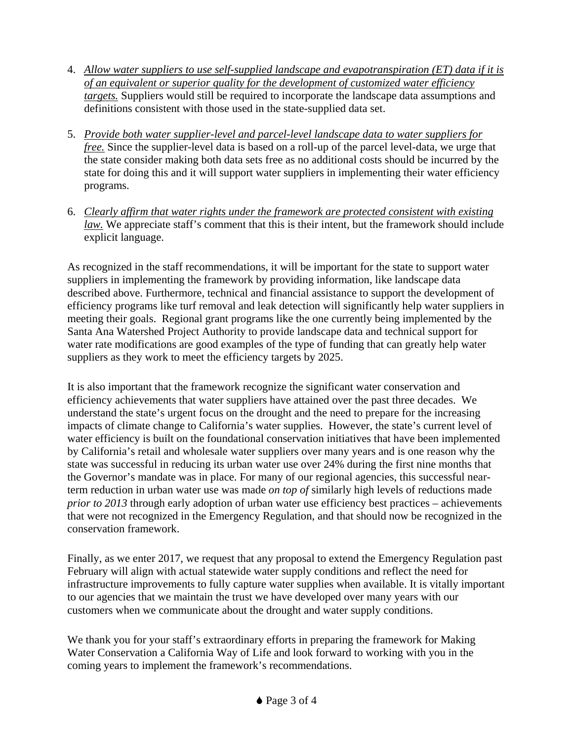- 4. *Allow water suppliers to use self-supplied landscape and evapotranspiration (ET) data if it is of an equivalent or superior quality for the development of customized water efficiency targets.* Suppliers would still be required to incorporate the landscape data assumptions and definitions consistent with those used in the state-supplied data set.
- 5. *Provide both water supplier-level and parcel-level landscape data to water suppliers for free.* Since the supplier-level data is based on a roll-up of the parcel level-data, we urge that the state consider making both data sets free as no additional costs should be incurred by the state for doing this and it will support water suppliers in implementing their water efficiency programs.
- 6. *Clearly affirm that water rights under the framework are protected consistent with existing law.* We appreciate staff's comment that this is their intent, but the framework should include explicit language.

As recognized in the staff recommendations, it will be important for the state to support water suppliers in implementing the framework by providing information, like landscape data described above. Furthermore, technical and financial assistance to support the development of efficiency programs like turf removal and leak detection will significantly help water suppliers in meeting their goals. Regional grant programs like the one currently being implemented by the Santa Ana Watershed Project Authority to provide landscape data and technical support for water rate modifications are good examples of the type of funding that can greatly help water suppliers as they work to meet the efficiency targets by 2025.

It is also important that the framework recognize the significant water conservation and efficiency achievements that water suppliers have attained over the past three decades. We understand the state's urgent focus on the drought and the need to prepare for the increasing impacts of climate change to California's water supplies. However, the state's current level of water efficiency is built on the foundational conservation initiatives that have been implemented by California's retail and wholesale water suppliers over many years and is one reason why the state was successful in reducing its urban water use over 24% during the first nine months that the Governor's mandate was in place. For many of our regional agencies, this successful nearterm reduction in urban water use was made *on top of* similarly high levels of reductions made *prior to 2013* through early adoption of urban water use efficiency best practices – achievements that were not recognized in the Emergency Regulation, and that should now be recognized in the conservation framework.

Finally, as we enter 2017, we request that any proposal to extend the Emergency Regulation past February will align with actual statewide water supply conditions and reflect the need for infrastructure improvements to fully capture water supplies when available. It is vitally important to our agencies that we maintain the trust we have developed over many years with our customers when we communicate about the drought and water supply conditions.

We thank you for your staff's extraordinary efforts in preparing the framework for Making Water Conservation a California Way of Life and look forward to working with you in the coming years to implement the framework's recommendations.